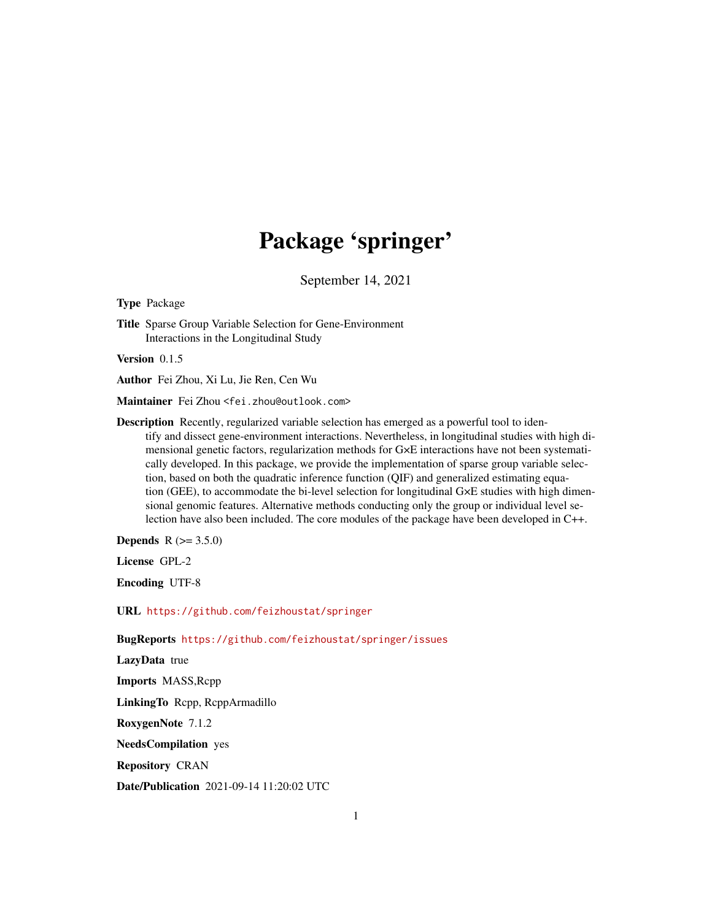## Package 'springer'

September 14, 2021

Type Package

Title Sparse Group Variable Selection for Gene-Environment Interactions in the Longitudinal Study

Version 0.1.5

Author Fei Zhou, Xi Lu, Jie Ren, Cen Wu

Maintainer Fei Zhou <fei.zhou@outlook.com>

Description Recently, regularized variable selection has emerged as a powerful tool to identify and dissect gene-environment interactions. Nevertheless, in longitudinal studies with high dimensional genetic factors, regularization methods for G×E interactions have not been systematically developed. In this package, we provide the implementation of sparse group variable selection, based on both the quadratic inference function (QIF) and generalized estimating equation (GEE), to accommodate the bi-level selection for longitudinal G×E studies with high dimensional genomic features. Alternative methods conducting only the group or individual level selection have also been included. The core modules of the package have been developed in C++.

**Depends** R  $(>= 3.5.0)$ 

License GPL-2

Encoding UTF-8

URL <https://github.com/feizhoustat/springer>

BugReports <https://github.com/feizhoustat/springer/issues>

LazyData true

Imports MASS,Rcpp

LinkingTo Rcpp, RcppArmadillo

RoxygenNote 7.1.2

NeedsCompilation yes

Repository CRAN

Date/Publication 2021-09-14 11:20:02 UTC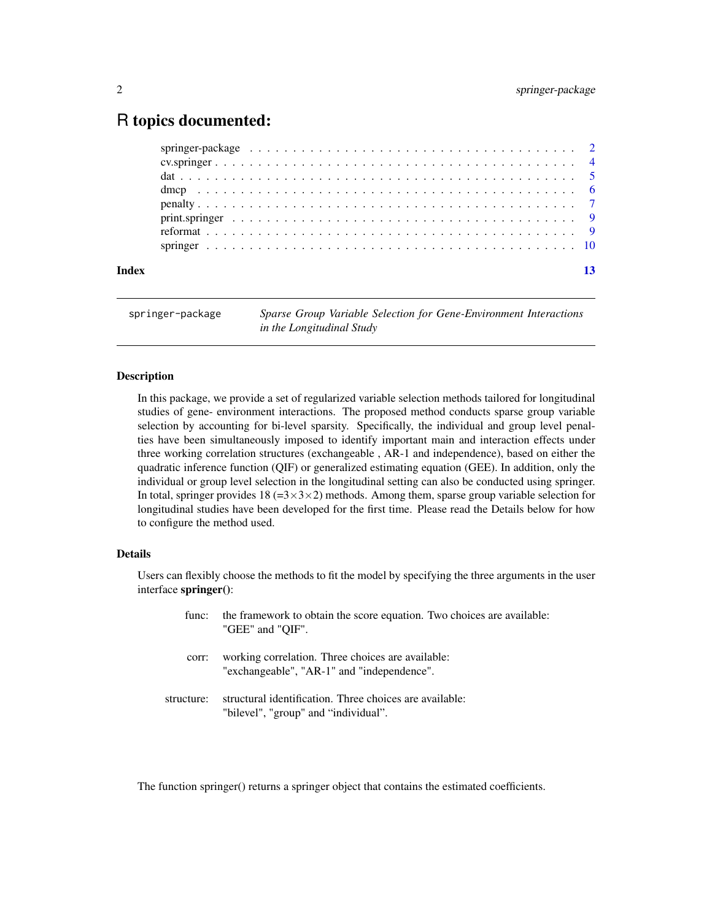### <span id="page-1-0"></span>R topics documented:

springer-package *Sparse Group Variable Selection for Gene-Environment Interactions in the Longitudinal Study*

#### Description

In this package, we provide a set of regularized variable selection methods tailored for longitudinal studies of gene- environment interactions. The proposed method conducts sparse group variable selection by accounting for bi-level sparsity. Specifically, the individual and group level penalties have been simultaneously imposed to identify important main and interaction effects under three working correlation structures (exchangeable , AR-1 and independence), based on either the quadratic inference function (QIF) or generalized estimating equation (GEE). In addition, only the individual or group level selection in the longitudinal setting can also be conducted using springer. In total, springer provides 18 (= $3 \times 3 \times 2$ ) methods. Among them, sparse group variable selection for longitudinal studies have been developed for the first time. Please read the Details below for how to configure the method used.

#### Details

Users can flexibly choose the methods to fit the model by specifying the three arguments in the user interface springer():

| func:      | the framework to obtain the score equation. Two choices are available:<br>"GEE" and "OIF".      |
|------------|-------------------------------------------------------------------------------------------------|
| corr:      | working correlation. Three choices are available:<br>"exchangeable", "AR-1" and "independence". |
| structure: | structural identification. Three choices are available:<br>"bilevel", "group" and "individual". |

The function springer() returns a springer object that contains the estimated coefficients.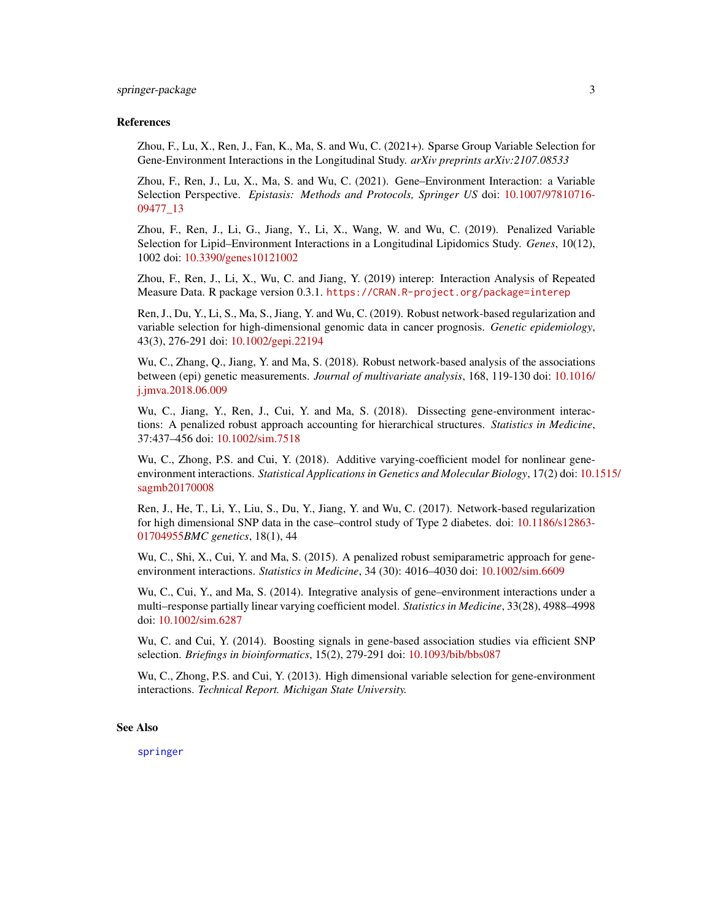#### <span id="page-2-0"></span>References

Zhou, F., Lu, X., Ren, J., Fan, K., Ma, S. and Wu, C. (2021+). Sparse Group Variable Selection for Gene-Environment Interactions in the Longitudinal Study. *arXiv preprints arXiv:2107.08533*

Zhou, F., Ren, J., Lu, X., Ma, S. and Wu, C. (2021). Gene–Environment Interaction: a Variable Selection Perspective. *Epistasis: Methods and Protocols, Springer US* doi: [10.1007/97810716-](https://doi.org/10.1007/978-1-0716-0947-7_13) [09477\\_13](https://doi.org/10.1007/978-1-0716-0947-7_13)

Zhou, F., Ren, J., Li, G., Jiang, Y., Li, X., Wang, W. and Wu, C. (2019). Penalized Variable Selection for Lipid–Environment Interactions in a Longitudinal Lipidomics Study. *Genes*, 10(12), 1002 doi: [10.3390/genes10121002](https://doi.org/10.3390/genes10121002)

Zhou, F., Ren, J., Li, X., Wu, C. and Jiang, Y. (2019) interep: Interaction Analysis of Repeated Measure Data. R package version 0.3.1. <https://CRAN.R-project.org/package=interep>

Ren, J., Du, Y., Li, S., Ma, S., Jiang, Y. and Wu, C. (2019). Robust network-based regularization and variable selection for high-dimensional genomic data in cancer prognosis. *Genetic epidemiology*, 43(3), 276-291 doi: [10.1002/gepi.22194](https://doi.org/10.1002/gepi.22194)

Wu, C., Zhang, Q., Jiang, Y. and Ma, S. (2018). Robust network-based analysis of the associations between (epi) genetic measurements. *Journal of multivariate analysis*, 168, 119-130 doi: [10.1016/](https://doi.org/10.1016/j.jmva.2018.06.009) [j.jmva.2018.06.009](https://doi.org/10.1016/j.jmva.2018.06.009)

Wu, C., Jiang, Y., Ren, J., Cui, Y. and Ma, S. (2018). Dissecting gene-environment interactions: A penalized robust approach accounting for hierarchical structures. *Statistics in Medicine*, 37:437–456 doi: [10.1002/sim.7518](https://doi.org/10.1002/sim.7518)

Wu, C., Zhong, P.S. and Cui, Y. (2018). Additive varying-coefficient model for nonlinear geneenvironment interactions. *Statistical Applications in Genetics and Molecular Biology*, 17(2) doi: [10.1](https://doi.org/10.1515/sagmb-2017-0008)515/ [sagmb20170008](https://doi.org/10.1515/sagmb-2017-0008)

Ren, J., He, T., Li, Y., Liu, S., Du, Y., Jiang, Y. and Wu, C. (2017). Network-based regularization for high dimensional SNP data in the case–control study of Type 2 diabetes. doi: [10.1186/s12863-](https://doi.org/10.1186/s12863-017-0495-5) [01704955](https://doi.org/10.1186/s12863-017-0495-5)*BMC genetics*, 18(1), 44

Wu, C., Shi, X., Cui, Y. and Ma, S. (2015). A penalized robust semiparametric approach for geneenvironment interactions. *Statistics in Medicine*, 34 (30): 4016–4030 doi: [10.1002/sim.6609](https://doi.org/10.1002/sim.6609)

Wu, C., Cui, Y., and Ma, S. (2014). Integrative analysis of gene–environment interactions under a multi–response partially linear varying coefficient model. *Statistics in Medicine*, 33(28), 4988–4998 doi: [10.1002/sim.6287](https://doi.org/10.1002/sim.6287)

Wu, C. and Cui, Y. (2014). Boosting signals in gene-based association studies via efficient SNP selection. *Briefings in bioinformatics*, 15(2), 279-291 doi: [10.1093/bib/bbs087](https://doi.org/10.1093/bib/bbs087)

Wu, C., Zhong, P.S. and Cui, Y. (2013). High dimensional variable selection for gene-environment interactions. *Technical Report. Michigan State University.*

#### See Also

[springer](#page-9-1)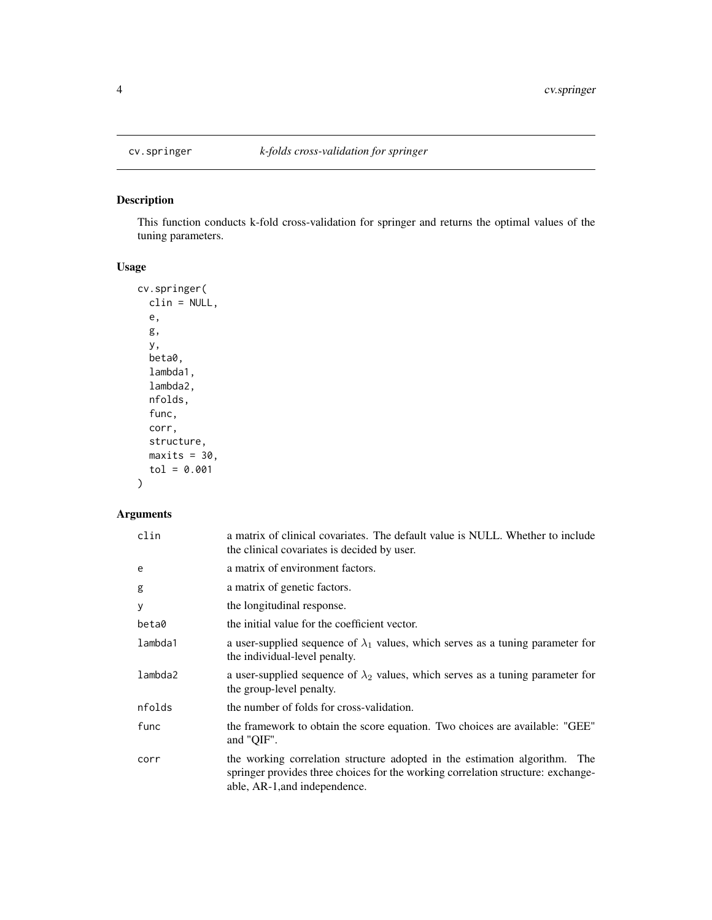#### Description

This function conducts k-fold cross-validation for springer and returns the optimal values of the tuning parameters.

#### Usage

```
cv.springer(
  clin = NULL,
  e,
  g,
  y,
  beta0,
  lambda1,
  lambda2,
  nfolds,
  func,
  corr,
  structure,
  maxits = 30,
  tol = 0.001
)
```

| clin    | a matrix of clinical covariates. The default value is NULL. Whether to include<br>the clinical covariates is decided by user.                                                                   |
|---------|-------------------------------------------------------------------------------------------------------------------------------------------------------------------------------------------------|
| e       | a matrix of environment factors.                                                                                                                                                                |
| g       | a matrix of genetic factors.                                                                                                                                                                    |
| У       | the longitudinal response.                                                                                                                                                                      |
| beta0   | the initial value for the coefficient vector.                                                                                                                                                   |
| lambda1 | a user-supplied sequence of $\lambda_1$ values, which serves as a tuning parameter for<br>the individual-level penalty.                                                                         |
| lambda2 | a user-supplied sequence of $\lambda_2$ values, which serves as a tuning parameter for<br>the group-level penalty.                                                                              |
| nfolds  | the number of folds for cross-validation.                                                                                                                                                       |
| func    | the framework to obtain the score equation. Two choices are available: "GEE"<br>and "QIF".                                                                                                      |
| corr    | the working correlation structure adopted in the estimation algorithm. The<br>springer provides three choices for the working correlation structure: exchange-<br>able, AR-1, and independence. |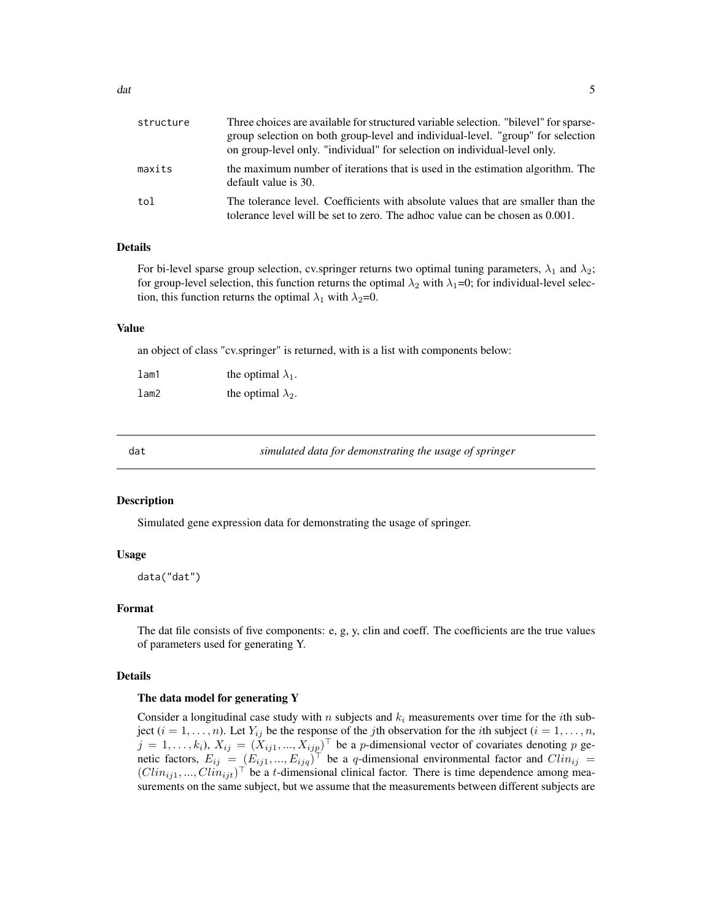<span id="page-4-0"></span>

| structure | Three choices are available for structured variable selection. "bilevel" for sparse-<br>group selection on both group-level and individual-level. "group" for selection<br>on group-level only. "individual" for selection on individual-level only. |
|-----------|------------------------------------------------------------------------------------------------------------------------------------------------------------------------------------------------------------------------------------------------------|
| maxits    | the maximum number of iterations that is used in the estimation algorithm. The<br>default value is 30.                                                                                                                                               |
| tol       | The tolerance level. Coefficients with absolute values that are smaller than the<br>tolerance level will be set to zero. The adhoc value can be chosen as 0.001.                                                                                     |

#### Details

For bi-level sparse group selection, cv.springer returns two optimal tuning parameters,  $\lambda_1$  and  $\lambda_2$ ; for group-level selection, this function returns the optimal  $\lambda_2$  with  $\lambda_1=0$ ; for individual-level selection, this function returns the optimal  $\lambda_1$  with  $\lambda_2=0$ .

#### Value

an object of class "cv.springer" is returned, with is a list with components below:

| $l$ am1    | the optimal $\lambda_1$ . |
|------------|---------------------------|
| $1$ am $2$ | the optimal $\lambda_2$ . |

<span id="page-4-1"></span>

dat *simulated data for demonstrating the usage of springer*

#### Description

Simulated gene expression data for demonstrating the usage of springer.

#### Usage

data("dat")

#### Format

The dat file consists of five components: e, g, y, clin and coeff. The coefficients are the true values of parameters used for generating Y.

#### Details

#### The data model for generating Y

Consider a longitudinal case study with n subjects and  $k_i$  measurements over time for the *i*th subject  $(i = 1, \ldots, n)$ . Let  $Y_{ij}$  be the response of the jth observation for the *i*th subject  $(i = 1, \ldots, n)$ ,  $j = 1, \ldots, k_i$ ),  $X_{ij} = (X_{ij1}, \ldots, X_{ijp})^\top$  be a *p*-dimensional vector of covariates denoting *p* genetic factors,  $E_{ij} = (E_{ij1},...,E_{ijq})^{\top}$  be a q-dimensional environmental factor and  $Clin_{ij} =$  $( Clin_{ij1}, ..., Clin_{ijt})^{\top}$  be a t-dimensional clinical factor. There is time dependence among measurements on the same subject, but we assume that the measurements between different subjects are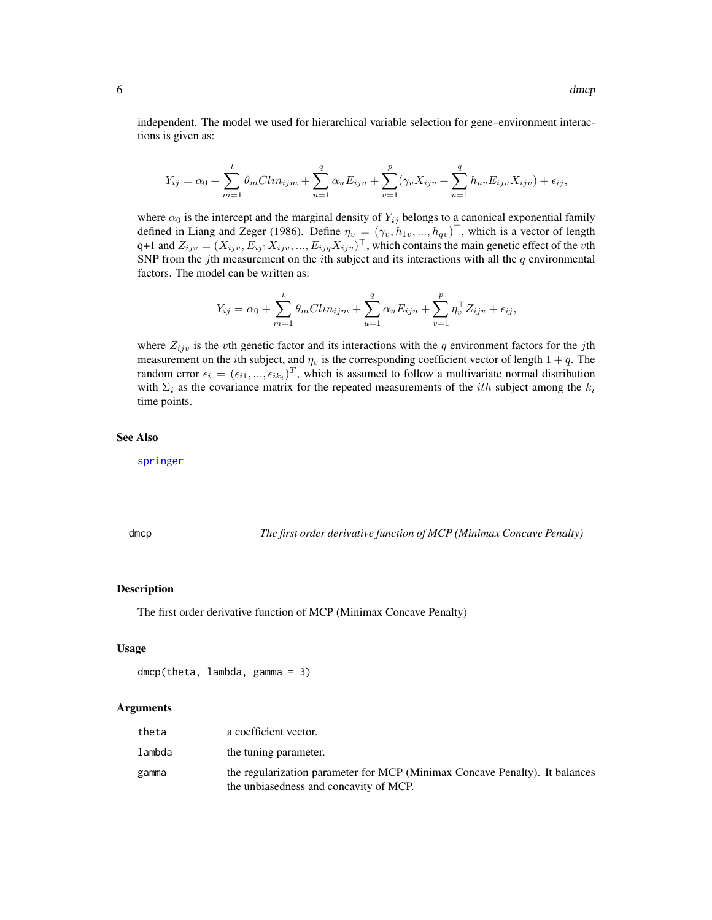<span id="page-5-0"></span>independent. The model we used for hierarchical variable selection for gene–environment interactions is given as:

$$
Y_{ij} = \alpha_0 + \sum_{m=1}^{t} \theta_m C l i n_{ijm} + \sum_{u=1}^{q} \alpha_u E_{iju} + \sum_{v=1}^{p} (\gamma_v X_{ijv} + \sum_{u=1}^{q} h_{uv} E_{iju} X_{ijv}) + \epsilon_{ij},
$$

where  $\alpha_0$  is the intercept and the marginal density of  $Y_{ij}$  belongs to a canonical exponential family defined in Liang and Zeger (1986). Define  $\eta_v = (\gamma_v, h_{1v}, ..., h_{qv})^\top$ , which is a vector of length q+1 and  $Z_{ijv} = (X_{ijv}, E_{ij1}X_{ijv},..., E_{ijq}X_{ijv})^\top$ , which contains the main genetic effect of the vth SNP from the jth measurement on the *i*th subject and its interactions with all the  $q$  environmental factors. The model can be written as:

$$
Y_{ij} = \alpha_0 + \sum_{m=1}^{t} \theta_m C lin_{ijm} + \sum_{u=1}^{q} \alpha_u E_{iju} + \sum_{v=1}^{p} \eta_v^{\top} Z_{ijv} + \epsilon_{ij},
$$

where  $Z_{ijv}$  is the vth genetic factor and its interactions with the q environment factors for the jth measurement on the *i*th subject, and  $\eta_v$  is the corresponding coefficient vector of length  $1 + q$ . The random error  $\epsilon_i = (\epsilon_{i1}, ..., \epsilon_{ik_i})^T$ , which is assumed to follow a multivariate normal distribution with  $\Sigma_i$  as the covariance matrix for the repeated measurements of the *ith* subject among the  $k_i$ time points.

#### See Also

[springer](#page-9-1)

dmcp *The first order derivative function of MCP (Minimax Concave Penalty)*

#### **Description**

The first order derivative function of MCP (Minimax Concave Penalty)

#### Usage

```
dmcp(theta, lambda, gamma = 3)
```

| theta  | a coefficient vector.                                                                                                 |
|--------|-----------------------------------------------------------------------------------------------------------------------|
| lambda | the tuning parameter.                                                                                                 |
| gamma  | the regularization parameter for MCP (Minimax Concave Penalty). It balances<br>the unbiasedness and concavity of MCP. |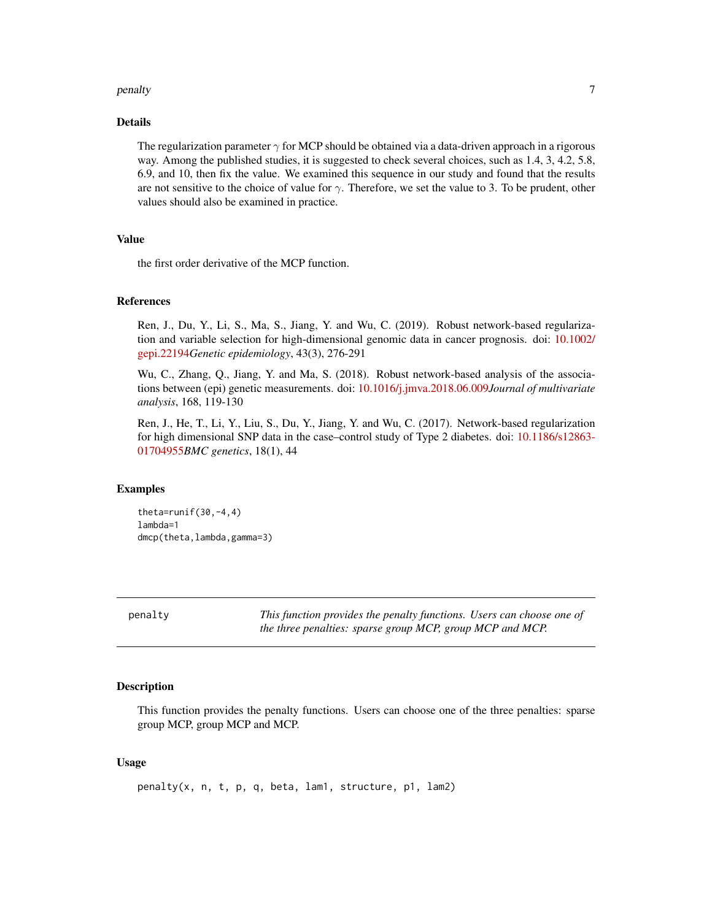#### <span id="page-6-0"></span>penalty and the contract of the contract of the contract of the contract of the contract of the contract of the contract of the contract of the contract of the contract of the contract of the contract of the contract of th

#### Details

The regularization parameter  $\gamma$  for MCP should be obtained via a data-driven approach in a rigorous way. Among the published studies, it is suggested to check several choices, such as 1.4, 3, 4.2, 5.8, 6.9, and 10, then fix the value. We examined this sequence in our study and found that the results are not sensitive to the choice of value for  $\gamma$ . Therefore, we set the value to 3. To be prudent, other values should also be examined in practice.

#### Value

the first order derivative of the MCP function.

#### References

Ren, J., Du, Y., Li, S., Ma, S., Jiang, Y. and Wu, C. (2019). Robust network-based regularization and variable selection for high-dimensional genomic data in cancer prognosis. doi: [10.1002/](https://doi.org/10.1002/gepi.22194) [gepi.22194](https://doi.org/10.1002/gepi.22194)*Genetic epidemiology*, 43(3), 276-291

Wu, C., Zhang, Q., Jiang, Y. and Ma, S. (2018). Robust network-based analysis of the associations between (epi) genetic measurements. doi: [10.1016/j.jmva.2018.06.009](https://doi.org/10.1016/j.jmva.2018.06.009)*Journal of multivariate analysis*, 168, 119-130

Ren, J., He, T., Li, Y., Liu, S., Du, Y., Jiang, Y. and Wu, C. (2017). Network-based regularization for high dimensional SNP data in the case–control study of Type 2 diabetes. doi: [10.1186/s12863-](https://doi.org/10.1186/s12863-017-0495-5) [01704955](https://doi.org/10.1186/s12863-017-0495-5)*BMC genetics*, 18(1), 44

#### Examples

theta=runif $(30, -4, 4)$ lambda=1 dmcp(theta, lambda, gamma=3)

penalty *This function provides the penalty functions. Users can choose one of the three penalties: sparse group MCP, group MCP and MCP.*

#### **Description**

This function provides the penalty functions. Users can choose one of the three penalties: sparse group MCP, group MCP and MCP.

#### Usage

penalty(x, n, t, p, q, beta, lam1, structure, p1, lam2)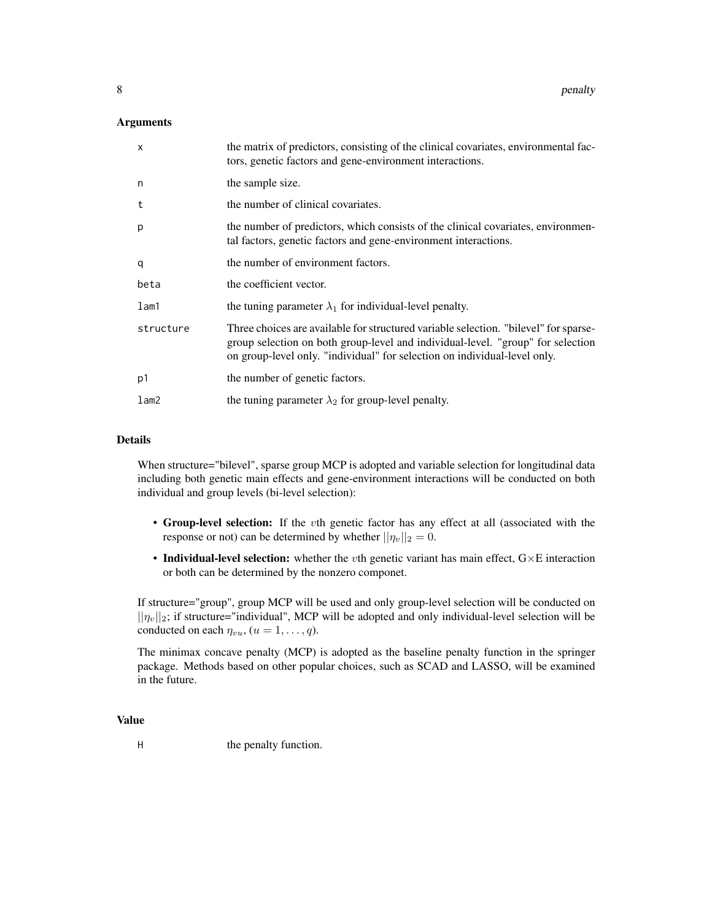#### Arguments

| $\times$   | the matrix of predictors, consisting of the clinical covariates, environmental fac-<br>tors, genetic factors and gene-environment interactions.                                                                                                      |
|------------|------------------------------------------------------------------------------------------------------------------------------------------------------------------------------------------------------------------------------------------------------|
| n          | the sample size.                                                                                                                                                                                                                                     |
| t          | the number of clinical covariates.                                                                                                                                                                                                                   |
| p          | the number of predictors, which consists of the clinical covariates, environmen-<br>tal factors, genetic factors and gene-environment interactions.                                                                                                  |
| q          | the number of environment factors.                                                                                                                                                                                                                   |
| beta       | the coefficient vector.                                                                                                                                                                                                                              |
| $l$ am $1$ | the tuning parameter $\lambda_1$ for individual-level penalty.                                                                                                                                                                                       |
| structure  | Three choices are available for structured variable selection. "bilevel" for sparse-<br>group selection on both group-level and individual-level. "group" for selection<br>on group-level only. "individual" for selection on individual-level only. |
| p1         | the number of genetic factors.                                                                                                                                                                                                                       |
| lam2       | the tuning parameter $\lambda_2$ for group-level penalty.                                                                                                                                                                                            |

#### Details

When structure="bilevel", sparse group MCP is adopted and variable selection for longitudinal data including both genetic main effects and gene-environment interactions will be conducted on both individual and group levels (bi-level selection):

- Group-level selection: If the vth genetic factor has any effect at all (associated with the response or not) can be determined by whether  $||\eta_v||_2 = 0$ .
- Individual-level selection: whether the vth genetic variant has main effect,  $G \times E$  interaction or both can be determined by the nonzero componet.

If structure="group", group MCP will be used and only group-level selection will be conducted on  $||\eta_v||_2$ ; if structure="individual", MCP will be adopted and only individual-level selection will be conducted on each  $\eta_{vu}$ ,  $(u = 1, \ldots, q)$ .

The minimax concave penalty (MCP) is adopted as the baseline penalty function in the springer package. Methods based on other popular choices, such as SCAD and LASSO, will be examined in the future.

#### Value

H the penalty function.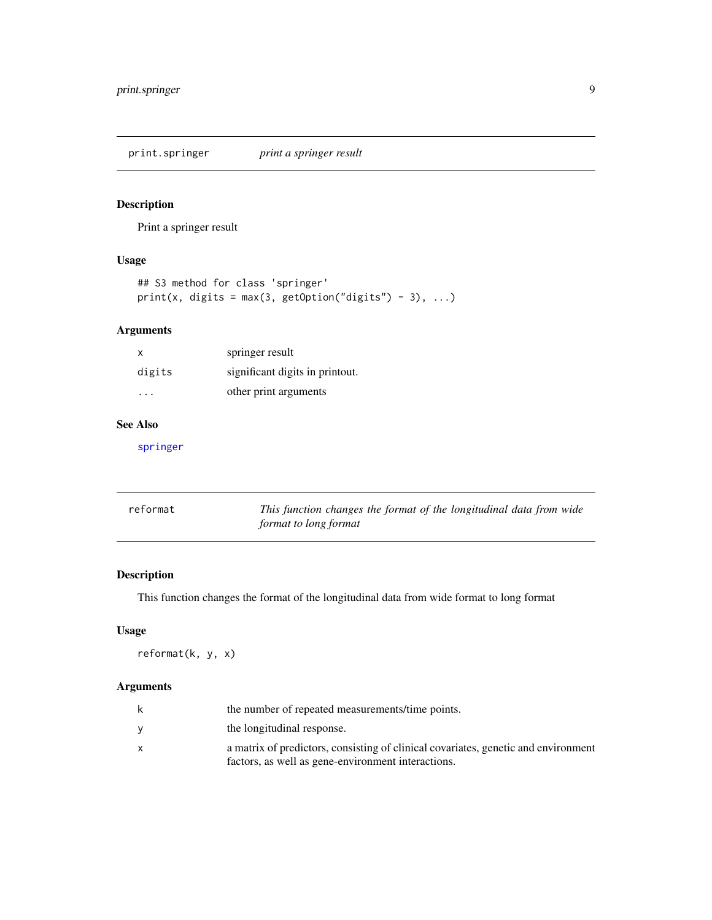<span id="page-8-0"></span>print.springer *print a springer result*

#### Description

Print a springer result

#### Usage

```
## S3 method for class 'springer'
print(x, digits = max(3, getOption("digits") - 3), ...)
```
#### Arguments

| х      | springer result                 |
|--------|---------------------------------|
| digits | significant digits in printout. |
| .      | other print arguments           |

#### See Also

[springer](#page-9-1)

| reformat | This function changes the format of the longitudinal data from wide |
|----------|---------------------------------------------------------------------|
|          | format to long format                                               |

#### Description

This function changes the format of the longitudinal data from wide format to long format

#### Usage

reformat(k, y, x)

| k | the number of repeated measurements/time points.                                   |
|---|------------------------------------------------------------------------------------|
|   | the longitudinal response.                                                         |
|   | a matrix of predictors, consisting of clinical covariates, genetic and environment |
|   | factors, as well as gene-environment interactions.                                 |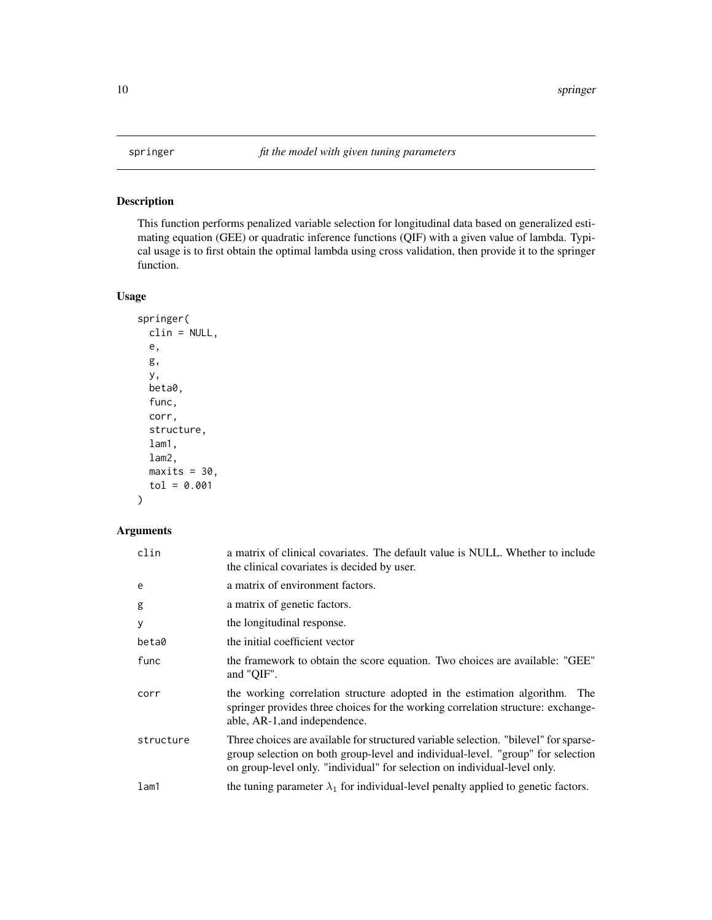<span id="page-9-1"></span><span id="page-9-0"></span>

#### Description

This function performs penalized variable selection for longitudinal data based on generalized estimating equation (GEE) or quadratic inference functions (QIF) with a given value of lambda. Typical usage is to first obtain the optimal lambda using cross validation, then provide it to the springer function.

#### Usage

```
springer(
 clin = NULL,
 e,
 g,
 y,
 beta0,
 func,
 corr,
 structure,
 lam1,
 lam2,
 maxits = 30,
  tol = 0.001
)
```

| clin      | a matrix of clinical covariates. The default value is NULL. Whether to include<br>the clinical covariates is decided by user.                                                                                                                        |
|-----------|------------------------------------------------------------------------------------------------------------------------------------------------------------------------------------------------------------------------------------------------------|
| e         | a matrix of environment factors.                                                                                                                                                                                                                     |
| g         | a matrix of genetic factors.                                                                                                                                                                                                                         |
| У         | the longitudinal response.                                                                                                                                                                                                                           |
| beta0     | the initial coefficient vector                                                                                                                                                                                                                       |
| func      | the framework to obtain the score equation. Two choices are available: "GEE"<br>and "QIF".                                                                                                                                                           |
| corr      | the working correlation structure adopted in the estimation algorithm. The<br>springer provides three choices for the working correlation structure: exchange-<br>able, AR-1, and independence.                                                      |
| structure | Three choices are available for structured variable selection. "bilevel" for sparse-<br>group selection on both group-level and individual-level. "group" for selection<br>on group-level only. "individual" for selection on individual-level only. |
| lam1      | the tuning parameter $\lambda_1$ for individual-level penalty applied to genetic factors.                                                                                                                                                            |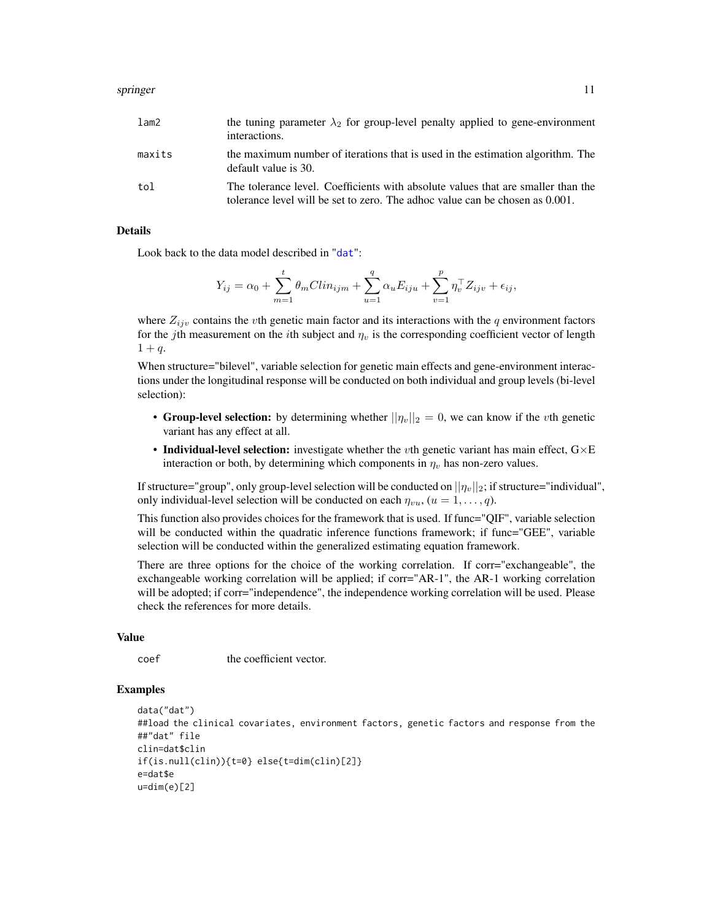#### <span id="page-10-0"></span>springer that the set of the set of the set of the set of the set of the set of the set of the set of the set of the set of the set of the set of the set of the set of the set of the set of the set of the set of the set of

| lam2   | the tuning parameter $\lambda_2$ for group-level penalty applied to gene-environment<br>interactions.                                                            |
|--------|------------------------------------------------------------------------------------------------------------------------------------------------------------------|
| maxits | the maximum number of iterations that is used in the estimation algorithm. The<br>default value is 30.                                                           |
| tol    | The tolerance level. Coefficients with absolute values that are smaller than the<br>tolerance level will be set to zero. The adhoc value can be chosen as 0.001. |

#### Details

Look back to the data model described in "[dat](#page-4-1)":

$$
Y_{ij} = \alpha_0 + \sum_{m=1}^{t} \theta_m C \lim_{ijm} + \sum_{u=1}^{q} \alpha_u E_{iju} + \sum_{v=1}^{p} \eta_v^{\top} Z_{ijv} + \epsilon_{ij},
$$

where  $Z_{ijv}$  contains the vth genetic main factor and its interactions with the q environment factors for the jth measurement on the *i*th subject and  $\eta_v$  is the corresponding coefficient vector of length  $1 + q$ .

When structure="bilevel", variable selection for genetic main effects and gene-environment interactions under the longitudinal response will be conducted on both individual and group levels (bi-level selection):

- Group-level selection: by determining whether  $||\eta_v||_2 = 0$ , we can know if the *v*th genetic variant has any effect at all.
- Individual-level selection: investigate whether the vth genetic variant has main effect,  $G \times E$ interaction or both, by determining which components in  $\eta_v$  has non-zero values.

If structure="group", only group-level selection will be conducted on  $||\eta_v||_2$ ; if structure="individual", only individual-level selection will be conducted on each  $\eta_{vu}$ ,  $(u = 1, \ldots, q)$ .

This function also provides choices for the framework that is used. If func="QIF", variable selection will be conducted within the quadratic inference functions framework; if func="GEE", variable selection will be conducted within the generalized estimating equation framework.

There are three options for the choice of the working correlation. If corr="exchangeable", the exchangeable working correlation will be applied; if corr="AR-1", the AR-1 working correlation will be adopted; if corr="independence", the independence working correlation will be used. Please check the references for more details.

#### Value

coef the coefficient vector.

#### Examples

```
data("dat")
##load the clinical covariates, environment factors, genetic factors and response from the
##"dat" file
clin=dat$clin
if(is.null(clin)){t=0} else{t=dim(clin)[2]}
e=dat$e
u=dim(e)[2]
```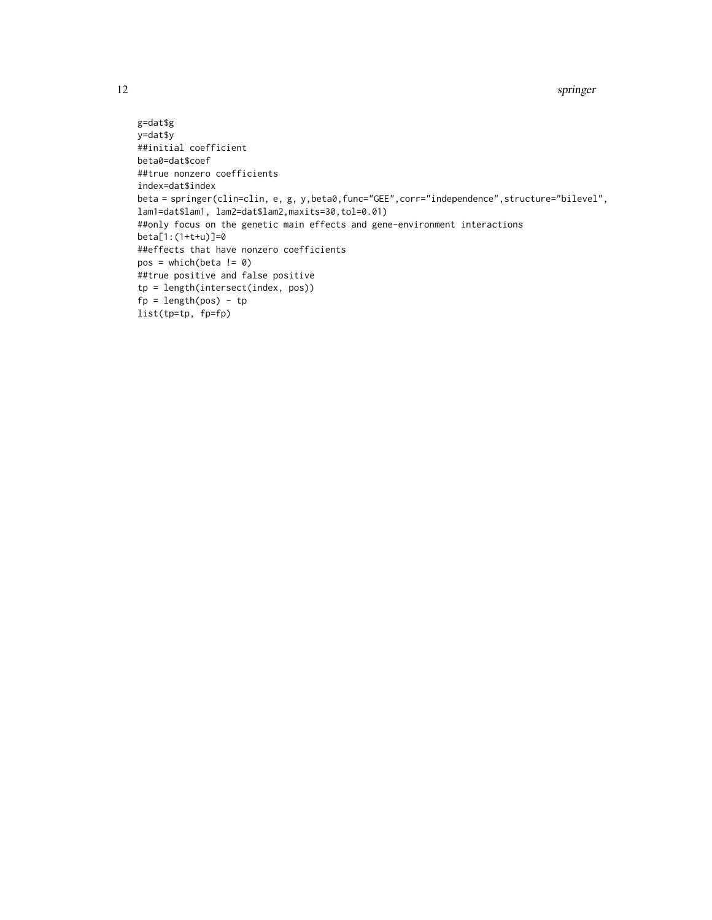```
g=dat$g
y=dat$y
##initial coefficient
beta0=dat$coef
##true nonzero coefficients
index=dat$index
beta = springer(clin=clin, e, g, y,beta0,func="GEE",corr="independence",structure="bilevel",
lam1=dat$lam1, lam2=dat$lam2,maxits=30,tol=0.01)
##only focus on the genetic main effects and gene-environment interactions
beta[1:(1+t+u)]=0
##effects that have nonzero coefficients
pos = which(beta != 0)##true positive and false positive
tp = length(intersect(index, pos))
fp = length(pos) - tplist(tp=tp, fp=fp)
```